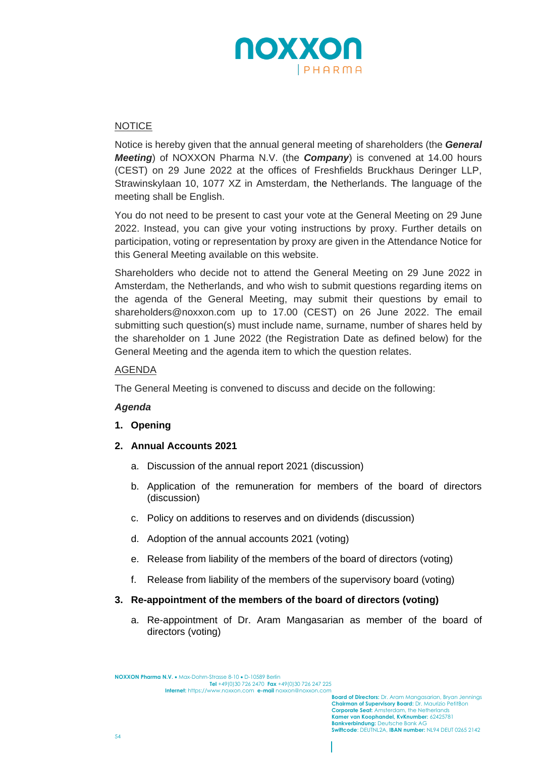

## **NOTICE**

Notice is hereby given that the annual general meeting of shareholders (the *General Meeting*) of NOXXON Pharma N.V. (the *Company*) is convened at 14.00 hours (CEST) on 29 June 2022 at the offices of Freshfields Bruckhaus Deringer LLP, Strawinskylaan 10, 1077 XZ in Amsterdam, the Netherlands. The language of the meeting shall be English.

You do not need to be present to cast your vote at the General Meeting on 29 June 2022. Instead, you can give your voting instructions by proxy. Further details on participation, voting or representation by proxy are given in the Attendance Notice for this General Meeting available on this website.

Shareholders who decide not to attend the General Meeting on 29 June 2022 in Amsterdam, the Netherlands, and who wish to submit questions regarding items on the agenda of the General Meeting, may submit their questions by email to shareholders@noxxon.com up to 17.00 (CEST) on 26 June 2022. The email submitting such question(s) must include name, surname, number of shares held by the shareholder on 1 June 2022 (the Registration Date as defined below) for the General Meeting and the agenda item to which the question relates.

## AGENDA

The General Meeting is convened to discuss and decide on the following:

## *Agenda*

- **1. Opening**
- **2. Annual Accounts 2021**
	- a. Discussion of the annual report 2021 (discussion)
	- b. Application of the remuneration for members of the board of directors (discussion)
	- c. Policy on additions to reserves and on dividends (discussion)
	- d. Adoption of the annual accounts 2021 (voting)
	- e. Release from liability of the members of the board of directors (voting)
	- f. Release from liability of the members of the supervisory board (voting)

#### **3. Re-appointment of the members of the board of directors (voting)**

a. Re-appointment of Dr. Aram Mangasarian as member of the board of directors (voting)

**NOXXON Pharma N.V.** • Max-Dohrn-Strasse 8-10 • D-10589 Berlin **Tel** +49(0)30 726 2470 **Fax** +49(0)30 726 247 225 **Internet:** https://www.noxxon.com **e-mail** noxxon@noxxon.com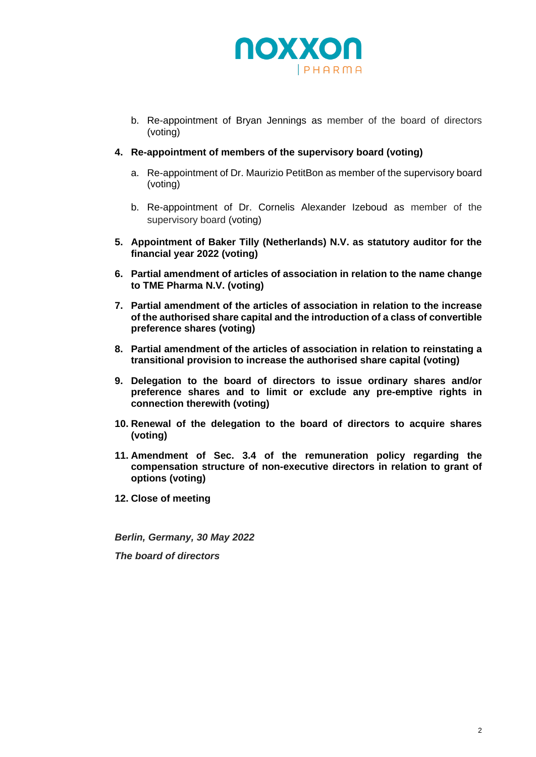

- b. Re-appointment of Bryan Jennings as member of the board of directors (voting)
- **4. Re-appointment of members of the supervisory board (voting)**
	- a. Re-appointment of Dr. Maurizio PetitBon as member of the supervisory board (voting)
	- b. Re-appointment of Dr. Cornelis Alexander Izeboud as member of the supervisory board (voting)
- **5. Appointment of Baker Tilly (Netherlands) N.V. as statutory auditor for the financial year 2022 (voting)**
- **6. Partial amendment of articles of association in relation to the name change to TME Pharma N.V. (voting)**
- **7. Partial amendment of the articles of association in relation to the increase of the authorised share capital and the introduction of a class of convertible preference shares (voting)**
- **8. Partial amendment of the articles of association in relation to reinstating a transitional provision to increase the authorised share capital (voting)**
- **9. Delegation to the board of directors to issue ordinary shares and/or preference shares and to limit or exclude any pre-emptive rights in connection therewith (voting)**
- **10. Renewal of the delegation to the board of directors to acquire shares (voting)**
- **11. Amendment of Sec. 3.4 of the remuneration policy regarding the compensation structure of non-executive directors in relation to grant of options (voting)**
- **12. Close of meeting**

*Berlin, Germany, 30 May 2022*

*The board of directors*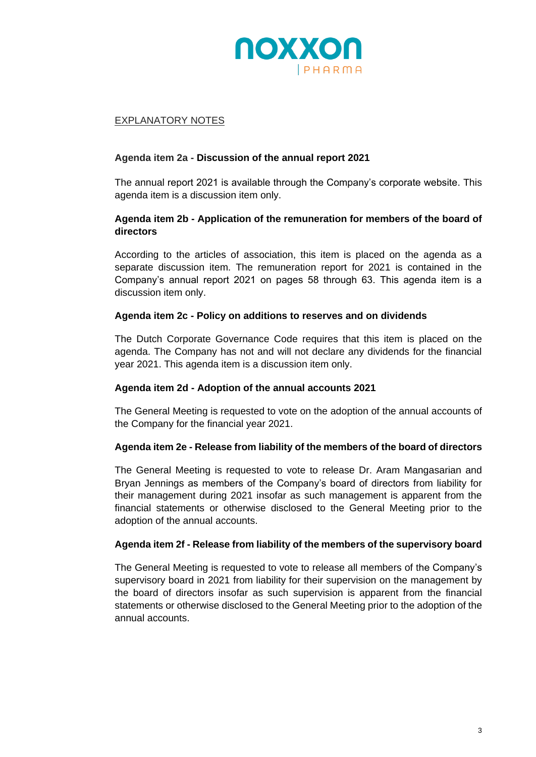

# EXPLANATORY NOTES

#### **Agenda item 2a - Discussion of the annual report 2021**

The annual report 2021 is available through the Company's corporate website. This agenda item is a discussion item only.

# **Agenda item 2b - Application of the remuneration for members of the board of directors**

According to the articles of association, this item is placed on the agenda as a separate discussion item. The remuneration report for 2021 is contained in the Company's annual report 2021 on pages 58 through 63. This agenda item is a discussion item only.

#### **Agenda item 2c - Policy on additions to reserves and on dividends**

The Dutch Corporate Governance Code requires that this item is placed on the agenda. The Company has not and will not declare any dividends for the financial year 2021. This agenda item is a discussion item only.

## **Agenda item 2d - Adoption of the annual accounts 2021**

The General Meeting is requested to vote on the adoption of the annual accounts of the Company for the financial year 2021.

#### **Agenda item 2e - Release from liability of the members of the board of directors**

The General Meeting is requested to vote to release Dr. Aram Mangasarian and Bryan Jennings as members of the Company's board of directors from liability for their management during 2021 insofar as such management is apparent from the financial statements or otherwise disclosed to the General Meeting prior to the adoption of the annual accounts.

#### **Agenda item 2f - Release from liability of the members of the supervisory board**

The General Meeting is requested to vote to release all members of the Company's supervisory board in 2021 from liability for their supervision on the management by the board of directors insofar as such supervision is apparent from the financial statements or otherwise disclosed to the General Meeting prior to the adoption of the annual accounts.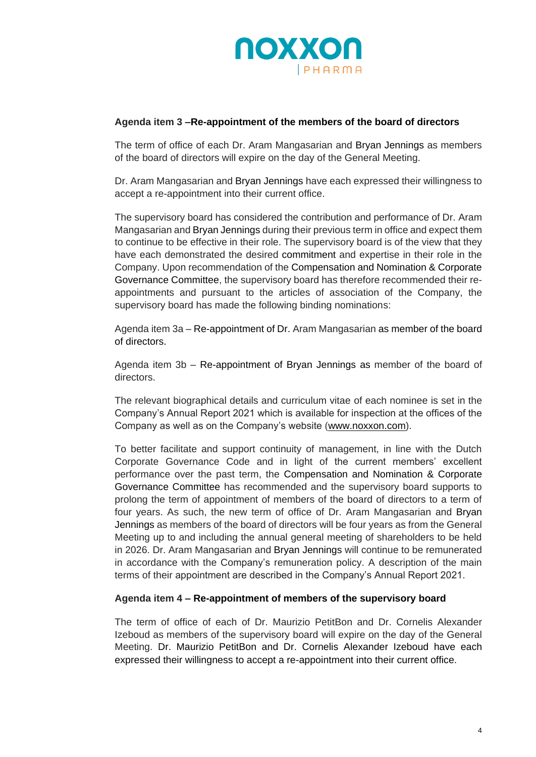

## **Agenda item 3 –Re-appointment of the members of the board of directors**

The term of office of each Dr. Aram Mangasarian and Bryan Jennings as members of the board of directors will expire on the day of the General Meeting.

Dr. Aram Mangasarian and Bryan Jennings have each expressed their willingness to accept a re-appointment into their current office.

The supervisory board has considered the contribution and performance of Dr. Aram Mangasarian and Bryan Jennings during their previous term in office and expect them to continue to be effective in their role. The supervisory board is of the view that they have each demonstrated the desired commitment and expertise in their role in the Company. Upon recommendation of the Compensation and Nomination & Corporate Governance Committee, the supervisory board has therefore recommended their reappointments and pursuant to the articles of association of the Company, the supervisory board has made the following binding nominations:

Agenda item 3a – Re-appointment of Dr. Aram Mangasarian as member of the board of directors.

Agenda item 3b – Re-appointment of Bryan Jennings as member of the board of directors.

The relevant biographical details and curriculum vitae of each nominee is set in the Company's Annual Report 2021 which is available for inspection at the offices of the Company as well as on the Company's website [\(www.noxxon.com\)](https://www.noxxon.com/).

To better facilitate and support continuity of management, in line with the Dutch Corporate Governance Code and in light of the current members' excellent performance over the past term, the Compensation and Nomination & Corporate Governance Committee has recommended and the supervisory board supports to prolong the term of appointment of members of the board of directors to a term of four years. As such, the new term of office of Dr. Aram Mangasarian and Bryan Jennings as members of the board of directors will be four years as from the General Meeting up to and including the annual general meeting of shareholders to be held in 2026. Dr. Aram Mangasarian and Bryan Jennings will continue to be remunerated in accordance with the Company's remuneration policy. A description of the main terms of their appointment are described in the Company's Annual Report 2021.

#### **Agenda item 4 – Re-appointment of members of the supervisory board**

The term of office of each of Dr. Maurizio PetitBon and Dr. Cornelis Alexander Izeboud as members of the supervisory board will expire on the day of the General Meeting. Dr. Maurizio PetitBon and Dr. Cornelis Alexander Izeboud have each expressed their willingness to accept a re-appointment into their current office.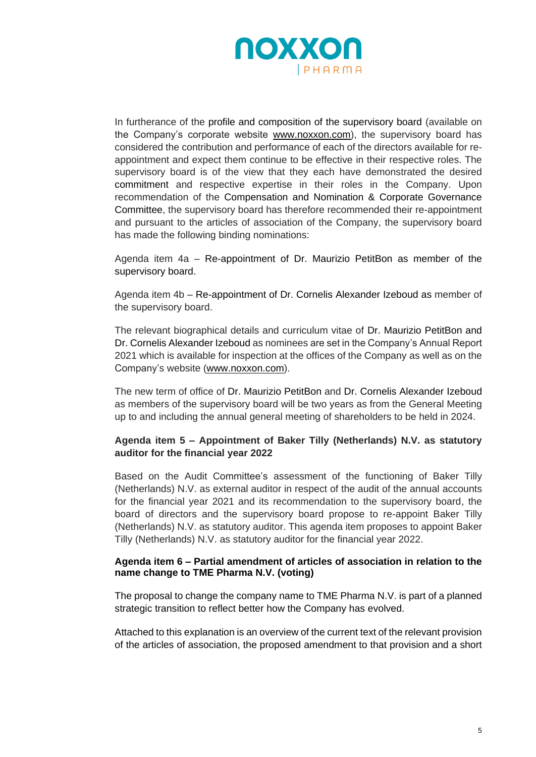

In furtherance of the profile and composition of the supervisory board (available on the Company's corporate website [www.noxxon.com\)](https://www.noxxon.com/), the supervisory board has considered the contribution and performance of each of the directors available for reappointment and expect them continue to be effective in their respective roles. The supervisory board is of the view that they each have demonstrated the desired commitment and respective expertise in their roles in the Company. Upon recommendation of the Compensation and Nomination & Corporate Governance Committee, the supervisory board has therefore recommended their re-appointment and pursuant to the articles of association of the Company, the supervisory board has made the following binding nominations:

Agenda item 4a – Re-appointment of Dr. Maurizio PetitBon as member of the supervisory board.

Agenda item 4b – Re-appointment of Dr. Cornelis Alexander Izeboud as member of the supervisory board.

The relevant biographical details and curriculum vitae of Dr. Maurizio PetitBon and Dr. Cornelis Alexander Izeboud as nominees are set in the Company's Annual Report 2021 which is available for inspection at the offices of the Company as well as on the Company's website [\(www.noxxon.com\)](https://www.noxxon.com/).

The new term of office of Dr. Maurizio PetitBon and Dr. Cornelis Alexander Izeboud as members of the supervisory board will be two years as from the General Meeting up to and including the annual general meeting of shareholders to be held in 2024.

# **Agenda item 5 – Appointment of Baker Tilly (Netherlands) N.V. as statutory auditor for the financial year 2022**

Based on the Audit Committee's assessment of the functioning of Baker Tilly (Netherlands) N.V. as external auditor in respect of the audit of the annual accounts for the financial year 2021 and its recommendation to the supervisory board, the board of directors and the supervisory board propose to re-appoint Baker Tilly (Netherlands) N.V. as statutory auditor. This agenda item proposes to appoint Baker Tilly (Netherlands) N.V. as statutory auditor for the financial year 2022.

## **Agenda item 6 – Partial amendment of articles of association in relation to the name change to TME Pharma N.V. (voting)**

The proposal to change the company name to TME Pharma N.V. is part of a planned strategic transition to reflect better how the Company has evolved.

Attached to this explanation is an overview of the current text of the relevant provision of the articles of association, the proposed amendment to that provision and a short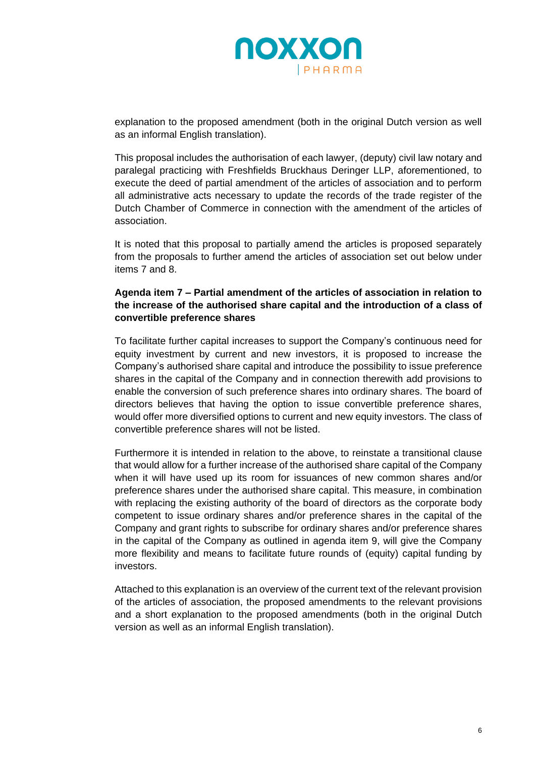

explanation to the proposed amendment (both in the original Dutch version as well as an informal English translation).

This proposal includes the authorisation of each lawyer, (deputy) civil law notary and paralegal practicing with Freshfields Bruckhaus Deringer LLP, aforementioned, to execute the deed of partial amendment of the articles of association and to perform all administrative acts necessary to update the records of the trade register of the Dutch Chamber of Commerce in connection with the amendment of the articles of association.

It is noted that this proposal to partially amend the articles is proposed separately from the proposals to further amend the articles of association set out below under items 7 and 8.

## **Agenda item 7 – Partial amendment of the articles of association in relation to the increase of the authorised share capital and the introduction of a class of convertible preference shares**

To facilitate further capital increases to support the Company's continuous need for equity investment by current and new investors, it is proposed to increase the Company's authorised share capital and introduce the possibility to issue preference shares in the capital of the Company and in connection therewith add provisions to enable the conversion of such preference shares into ordinary shares. The board of directors believes that having the option to issue convertible preference shares, would offer more diversified options to current and new equity investors. The class of convertible preference shares will not be listed.

Furthermore it is intended in relation to the above, to reinstate a transitional clause that would allow for a further increase of the authorised share capital of the Company when it will have used up its room for issuances of new common shares and/or preference shares under the authorised share capital. This measure, in combination with replacing the existing authority of the board of directors as the corporate body competent to issue ordinary shares and/or preference shares in the capital of the Company and grant rights to subscribe for ordinary shares and/or preference shares in the capital of the Company as outlined in agenda item 9, will give the Company more flexibility and means to facilitate future rounds of (equity) capital funding by investors.

Attached to this explanation is an overview of the current text of the relevant provision of the articles of association, the proposed amendments to the relevant provisions and a short explanation to the proposed amendments (both in the original Dutch version as well as an informal English translation).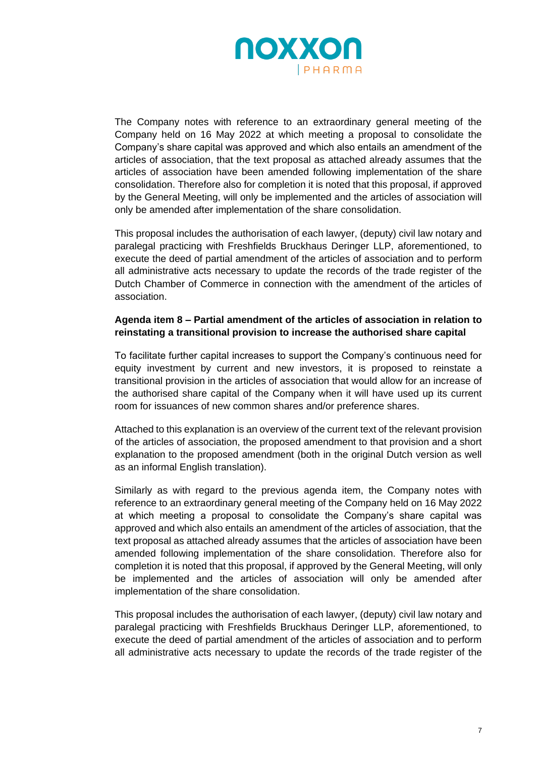

The Company notes with reference to an extraordinary general meeting of the Company held on 16 May 2022 at which meeting a proposal to consolidate the Company's share capital was approved and which also entails an amendment of the articles of association, that the text proposal as attached already assumes that the articles of association have been amended following implementation of the share consolidation. Therefore also for completion it is noted that this proposal, if approved by the General Meeting, will only be implemented and the articles of association will only be amended after implementation of the share consolidation.

This proposal includes the authorisation of each lawyer, (deputy) civil law notary and paralegal practicing with Freshfields Bruckhaus Deringer LLP, aforementioned, to execute the deed of partial amendment of the articles of association and to perform all administrative acts necessary to update the records of the trade register of the Dutch Chamber of Commerce in connection with the amendment of the articles of association.

# **Agenda item 8 – Partial amendment of the articles of association in relation to reinstating a transitional provision to increase the authorised share capital**

To facilitate further capital increases to support the Company's continuous need for equity investment by current and new investors, it is proposed to reinstate a transitional provision in the articles of association that would allow for an increase of the authorised share capital of the Company when it will have used up its current room for issuances of new common shares and/or preference shares.

Attached to this explanation is an overview of the current text of the relevant provision of the articles of association, the proposed amendment to that provision and a short explanation to the proposed amendment (both in the original Dutch version as well as an informal English translation).

Similarly as with regard to the previous agenda item, the Company notes with reference to an extraordinary general meeting of the Company held on 16 May 2022 at which meeting a proposal to consolidate the Company's share capital was approved and which also entails an amendment of the articles of association, that the text proposal as attached already assumes that the articles of association have been amended following implementation of the share consolidation. Therefore also for completion it is noted that this proposal, if approved by the General Meeting, will only be implemented and the articles of association will only be amended after implementation of the share consolidation.

This proposal includes the authorisation of each lawyer, (deputy) civil law notary and paralegal practicing with Freshfields Bruckhaus Deringer LLP, aforementioned, to execute the deed of partial amendment of the articles of association and to perform all administrative acts necessary to update the records of the trade register of the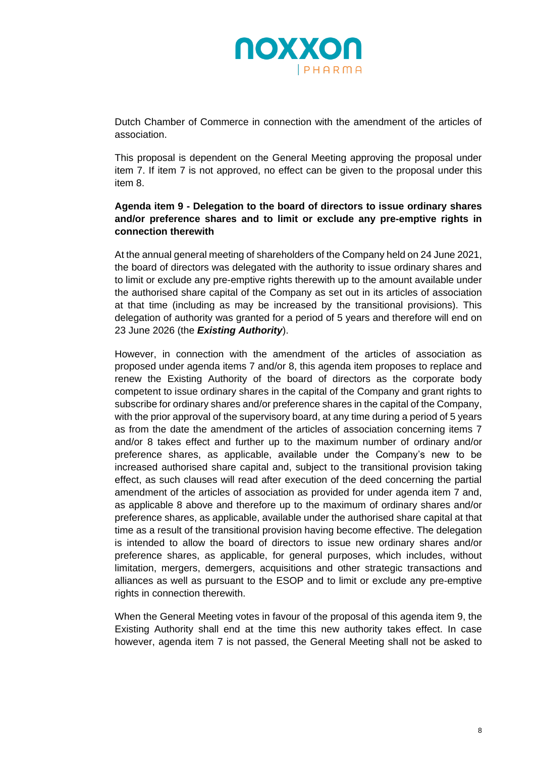

Dutch Chamber of Commerce in connection with the amendment of the articles of association.

This proposal is dependent on the General Meeting approving the proposal under item 7. If item 7 is not approved, no effect can be given to the proposal under this item 8.

# **Agenda item 9 - Delegation to the board of directors to issue ordinary shares and/or preference shares and to limit or exclude any pre-emptive rights in connection therewith**

At the annual general meeting of shareholders of the Company held on 24 June 2021, the board of directors was delegated with the authority to issue ordinary shares and to limit or exclude any pre-emptive rights therewith up to the amount available under the authorised share capital of the Company as set out in its articles of association at that time (including as may be increased by the transitional provisions). This delegation of authority was granted for a period of 5 years and therefore will end on 23 June 2026 (the *Existing Authority*).

However, in connection with the amendment of the articles of association as proposed under agenda items 7 and/or 8, this agenda item proposes to replace and renew the Existing Authority of the board of directors as the corporate body competent to issue ordinary shares in the capital of the Company and grant rights to subscribe for ordinary shares and/or preference shares in the capital of the Company, with the prior approval of the supervisory board, at any time during a period of 5 years as from the date the amendment of the articles of association concerning items 7 and/or 8 takes effect and further up to the maximum number of ordinary and/or preference shares, as applicable, available under the Company's new to be increased authorised share capital and, subject to the transitional provision taking effect, as such clauses will read after execution of the deed concerning the partial amendment of the articles of association as provided for under agenda item 7 and, as applicable 8 above and therefore up to the maximum of ordinary shares and/or preference shares, as applicable, available under the authorised share capital at that time as a result of the transitional provision having become effective. The delegation is intended to allow the board of directors to issue new ordinary shares and/or preference shares, as applicable, for general purposes, which includes, without limitation, mergers, demergers, acquisitions and other strategic transactions and alliances as well as pursuant to the ESOP and to limit or exclude any pre-emptive rights in connection therewith.

When the General Meeting votes in favour of the proposal of this agenda item 9, the Existing Authority shall end at the time this new authority takes effect. In case however, agenda item 7 is not passed, the General Meeting shall not be asked to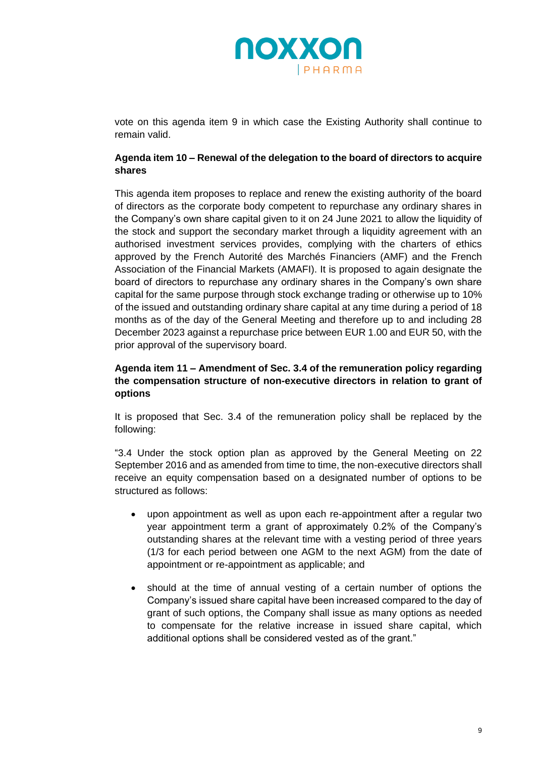

vote on this agenda item 9 in which case the Existing Authority shall continue to remain valid.

# **Agenda item 10 – Renewal of the delegation to the board of directors to acquire shares**

This agenda item proposes to replace and renew the existing authority of the board of directors as the corporate body competent to repurchase any ordinary shares in the Company's own share capital given to it on 24 June 2021 to allow the liquidity of the stock and support the secondary market through a liquidity agreement with an authorised investment services provides, complying with the charters of ethics approved by the French Autorité des Marchés Financiers (AMF) and the French Association of the Financial Markets (AMAFI). It is proposed to again designate the board of directors to repurchase any ordinary shares in the Company's own share capital for the same purpose through stock exchange trading or otherwise up to 10% of the issued and outstanding ordinary share capital at any time during a period of 18 months as of the day of the General Meeting and therefore up to and including 28 December 2023 against a repurchase price between EUR 1.00 and EUR 50, with the prior approval of the supervisory board.

# **Agenda item 11 – Amendment of Sec. 3.4 of the remuneration policy regarding the compensation structure of non-executive directors in relation to grant of options**

It is proposed that Sec. 3.4 of the remuneration policy shall be replaced by the following:

"3.4 Under the stock option plan as approved by the General Meeting on 22 September 2016 and as amended from time to time, the non-executive directors shall receive an equity compensation based on a designated number of options to be structured as follows:

- upon appointment as well as upon each re-appointment after a regular two year appointment term a grant of approximately 0.2% of the Company's outstanding shares at the relevant time with a vesting period of three years (1/3 for each period between one AGM to the next AGM) from the date of appointment or re-appointment as applicable; and
- should at the time of annual vesting of a certain number of options the Company's issued share capital have been increased compared to the day of grant of such options, the Company shall issue as many options as needed to compensate for the relative increase in issued share capital, which additional options shall be considered vested as of the grant."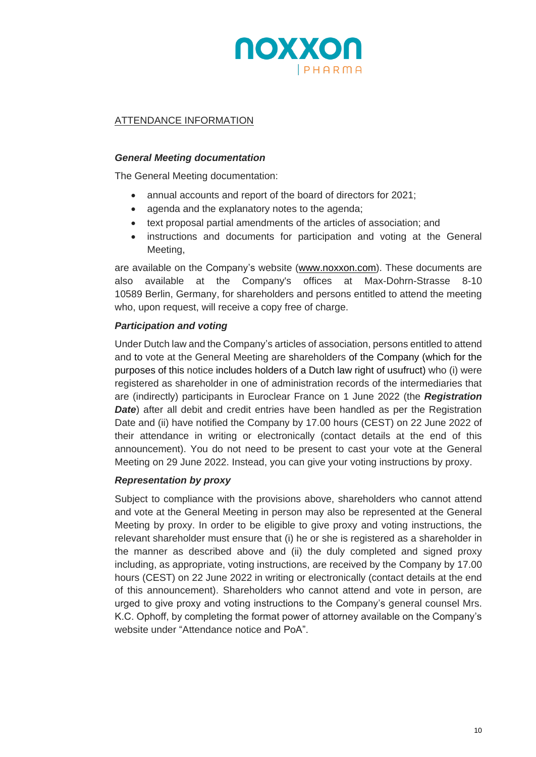

# ATTENDANCE INFORMATION

#### *General Meeting documentation*

The General Meeting documentation:

- annual accounts and report of the board of directors for 2021;
- agenda and the explanatory notes to the agenda;
- text proposal partial amendments of the articles of association; and
- instructions and documents for participation and voting at the General Meeting,

are available on the Company's website [\(www.noxxon.com\)](https://www.noxxon.com/). These documents are also available at the Company's offices at Max-Dohrn-Strasse 8-10 10589 Berlin, Germany, for shareholders and persons entitled to attend the meeting who, upon request, will receive a copy free of charge.

## *Participation and voting*

Under Dutch law and the Company's articles of association, persons entitled to attend and to vote at the General Meeting are shareholders of the Company (which for the purposes of this notice includes holders of a Dutch law right of usufruct) who (i) were registered as shareholder in one of administration records of the intermediaries that are (indirectly) participants in Euroclear France on 1 June 2022 (the *Registration Date*) after all debit and credit entries have been handled as per the Registration Date and (ii) have notified the Company by 17.00 hours (CEST) on 22 June 2022 of their attendance in writing or electronically (contact details at the end of this announcement). You do not need to be present to cast your vote at the General Meeting on 29 June 2022. Instead, you can give your voting instructions by proxy.

## *Representation by proxy*

Subject to compliance with the provisions above, shareholders who cannot attend and vote at the General Meeting in person may also be represented at the General Meeting by proxy. In order to be eligible to give proxy and voting instructions, the relevant shareholder must ensure that (i) he or she is registered as a shareholder in the manner as described above and (ii) the duly completed and signed proxy including, as appropriate, voting instructions, are received by the Company by 17.00 hours (CEST) on 22 June 2022 in writing or electronically (contact details at the end of this announcement). Shareholders who cannot attend and vote in person, are urged to give proxy and voting instructions to the Company's general counsel Mrs. K.C. Ophoff, by completing the format power of attorney available on the Company's website under "Attendance notice and PoA".